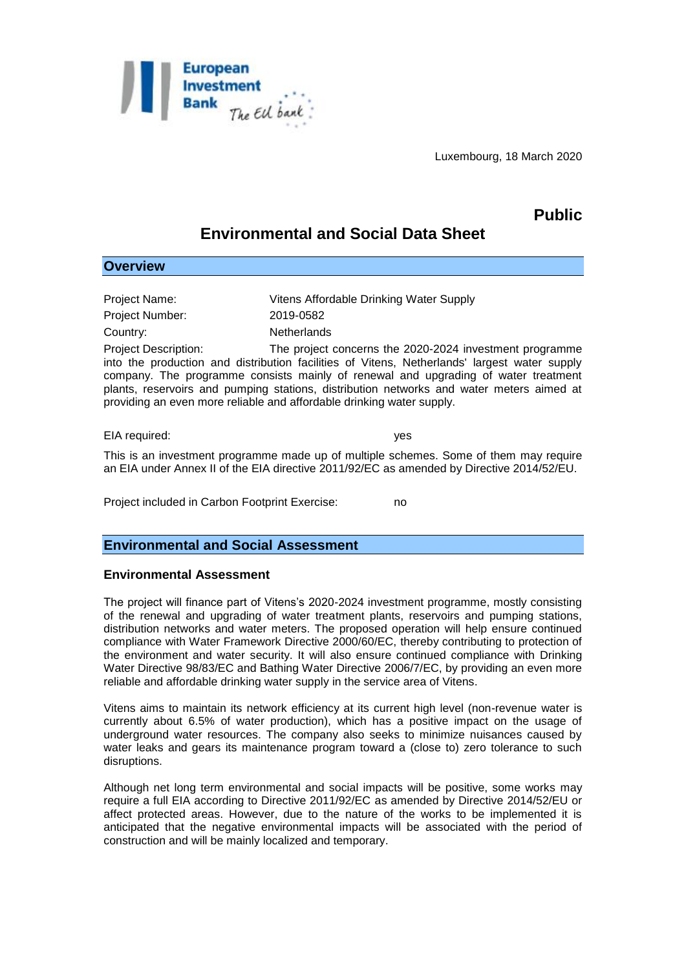

Luxembourg, 18 March 2020

# **Public**

# **Environmental and Social Data Sheet**

| <b>Overview</b>                                                                                                                                                                                                                                                                                                                                                                                                                                   |                                         |
|---------------------------------------------------------------------------------------------------------------------------------------------------------------------------------------------------------------------------------------------------------------------------------------------------------------------------------------------------------------------------------------------------------------------------------------------------|-----------------------------------------|
|                                                                                                                                                                                                                                                                                                                                                                                                                                                   |                                         |
| Project Name:                                                                                                                                                                                                                                                                                                                                                                                                                                     | Vitens Affordable Drinking Water Supply |
| <b>Project Number:</b>                                                                                                                                                                                                                                                                                                                                                                                                                            | 2019-0582                               |
| Country:                                                                                                                                                                                                                                                                                                                                                                                                                                          | <b>Netherlands</b>                      |
| <b>Project Description:</b><br>The project concerns the 2020-2024 investment programme<br>into the production and distribution facilities of Vitens, Netherlands' largest water supply<br>company. The programme consists mainly of renewal and upgrading of water treatment<br>plants, reservoirs and pumping stations, distribution networks and water meters aimed at<br>providing an even more reliable and affordable drinking water supply. |                                         |
| EIA required:                                                                                                                                                                                                                                                                                                                                                                                                                                     | yes                                     |

This is an investment programme made up of multiple schemes. Some of them may require an EIA under Annex II of the EIA directive 2011/92/EC as amended by Directive 2014/52/EU.

Project included in Carbon Footprint Exercise: no

# **Environmental and Social Assessment**

# **Environmental Assessment**

The project will finance part of Vitens's 2020-2024 investment programme, mostly consisting of the renewal and upgrading of water treatment plants, reservoirs and pumping stations, distribution networks and water meters. The proposed operation will help ensure continued compliance with Water Framework Directive 2000/60/EC, thereby contributing to protection of the environment and water security. It will also ensure continued compliance with Drinking Water Directive 98/83/EC and Bathing Water Directive 2006/7/EC, by providing an even more reliable and affordable drinking water supply in the service area of Vitens.

Vitens aims to maintain its network efficiency at its current high level (non-revenue water is currently about 6.5% of water production), which has a positive impact on the usage of underground water resources. The company also seeks to minimize nuisances caused by water leaks and gears its maintenance program toward a (close to) zero tolerance to such disruptions.

Although net long term environmental and social impacts will be positive, some works may require a full EIA according to Directive 2011/92/EC as amended by Directive 2014/52/EU or affect protected areas. However, due to the nature of the works to be implemented it is anticipated that the negative environmental impacts will be associated with the period of construction and will be mainly localized and temporary.